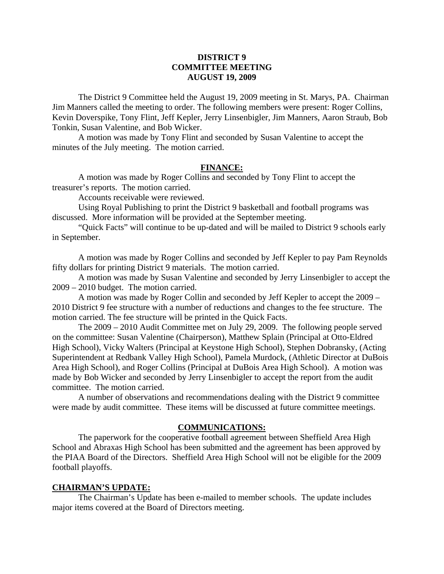# **DISTRICT 9 COMMITTEE MEETING AUGUST 19, 2009**

 The District 9 Committee held the August 19, 2009 meeting in St. Marys, PA. Chairman Jim Manners called the meeting to order. The following members were present: Roger Collins, Kevin Doverspike, Tony Flint, Jeff Kepler, Jerry Linsenbigler, Jim Manners, Aaron Straub, Bob Tonkin, Susan Valentine, and Bob Wicker.

 A motion was made by Tony Flint and seconded by Susan Valentine to accept the minutes of the July meeting. The motion carried.

### **FINANCE:**

A motion was made by Roger Collins and seconded by Tony Flint to accept the treasurer's reports. The motion carried.

Accounts receivable were reviewed.

 Using Royal Publishing to print the District 9 basketball and football programs was discussed. More information will be provided at the September meeting.

 "Quick Facts" will continue to be up-dated and will be mailed to District 9 schools early in September.

 A motion was made by Roger Collins and seconded by Jeff Kepler to pay Pam Reynolds fifty dollars for printing District 9 materials. The motion carried.

 A motion was made by Susan Valentine and seconded by Jerry Linsenbigler to accept the 2009 – 2010 budget. The motion carried.

 A motion was made by Roger Collin and seconded by Jeff Kepler to accept the 2009 – 2010 District 9 fee structure with a number of reductions and changes to the fee structure. The motion carried. The fee structure will be printed in the Quick Facts.

 The 2009 – 2010 Audit Committee met on July 29, 2009. The following people served on the committee: Susan Valentine (Chairperson), Matthew Splain (Principal at Otto-Eldred High School), Vicky Walters (Principal at Keystone High School), Stephen Dobransky, (Acting Superintendent at Redbank Valley High School), Pamela Murdock, (Athletic Director at DuBois Area High School), and Roger Collins (Principal at DuBois Area High School). A motion was made by Bob Wicker and seconded by Jerry Linsenbigler to accept the report from the audit committee. The motion carried.

 A number of observations and recommendations dealing with the District 9 committee were made by audit committee. These items will be discussed at future committee meetings.

### **COMMUNICATIONS:**

 The paperwork for the cooperative football agreement between Sheffield Area High School and Abraxas High School has been submitted and the agreement has been approved by the PIAA Board of the Directors. Sheffield Area High School will not be eligible for the 2009 football playoffs.

## **CHAIRMAN'S UPDATE:**

 The Chairman's Update has been e-mailed to member schools. The update includes major items covered at the Board of Directors meeting.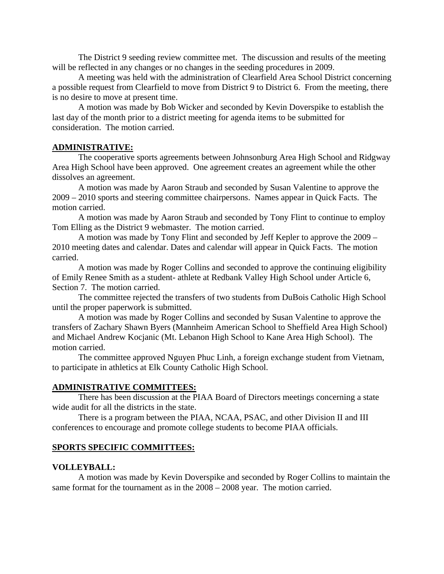The District 9 seeding review committee met. The discussion and results of the meeting will be reflected in any changes or no changes in the seeding procedures in 2009.

 A meeting was held with the administration of Clearfield Area School District concerning a possible request from Clearfield to move from District 9 to District 6. From the meeting, there is no desire to move at present time.

 A motion was made by Bob Wicker and seconded by Kevin Doverspike to establish the last day of the month prior to a district meeting for agenda items to be submitted for consideration. The motion carried.

# **ADMINISTRATIVE:**

 The cooperative sports agreements between Johnsonburg Area High School and Ridgway Area High School have been approved. One agreement creates an agreement while the other dissolves an agreement.

 A motion was made by Aaron Straub and seconded by Susan Valentine to approve the 2009 – 2010 sports and steering committee chairpersons. Names appear in Quick Facts. The motion carried.

 A motion was made by Aaron Straub and seconded by Tony Flint to continue to employ Tom Elling as the District 9 webmaster. The motion carried.

 A motion was made by Tony Flint and seconded by Jeff Kepler to approve the 2009 – 2010 meeting dates and calendar. Dates and calendar will appear in Quick Facts. The motion carried.

 A motion was made by Roger Collins and seconded to approve the continuing eligibility of Emily Renee Smith as a student- athlete at Redbank Valley High School under Article 6, Section 7. The motion carried.

 The committee rejected the transfers of two students from DuBois Catholic High School until the proper paperwork is submitted.

 A motion was made by Roger Collins and seconded by Susan Valentine to approve the transfers of Zachary Shawn Byers (Mannheim American School to Sheffield Area High School) and Michael Andrew Kocjanic (Mt. Lebanon High School to Kane Area High School). The motion carried.

 The committee approved Nguyen Phuc Linh, a foreign exchange student from Vietnam, to participate in athletics at Elk County Catholic High School.

#### **ADMINISTRATIVE COMMITTEES:**

 There has been discussion at the PIAA Board of Directors meetings concerning a state wide audit for all the districts in the state.

 There is a program between the PIAA, NCAA, PSAC, and other Division II and III conferences to encourage and promote college students to become PIAA officials.

## **SPORTS SPECIFIC COMMITTEES:**

## **VOLLEYBALL:**

 A motion was made by Kevin Doverspike and seconded by Roger Collins to maintain the same format for the tournament as in the 2008 – 2008 year. The motion carried.